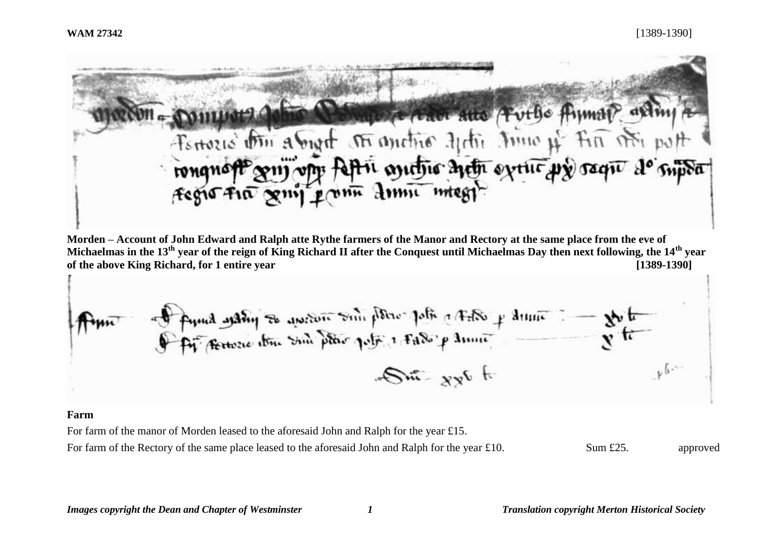Domyon John Demperado ano Futto Ayman arting rongnoft guy of fapri anatric neth extric wy raque de supor

**Morden – Account of John Edward and Ralph atte Rythe farmers of the Manor and Rectory at the same place from the eve of Michaelmas in the 13th year of the reign of King Richard II after the Conquest until Michaelmas Day then next following, the 14th year of the above King Richard, for 1 entire year [1389-1390]**

of final water to quetern some police police of the p drugs - to the - ما ن  $\mathcal{S}^{\text{int}}$  and

#### **Farm**

For farm of the manor of Morden leased to the aforesaid John and Ralph for the year £15.

For farm of the Rectory of the same place leased to the aforesaid John and Ralph for the year £10. Sum £25. approved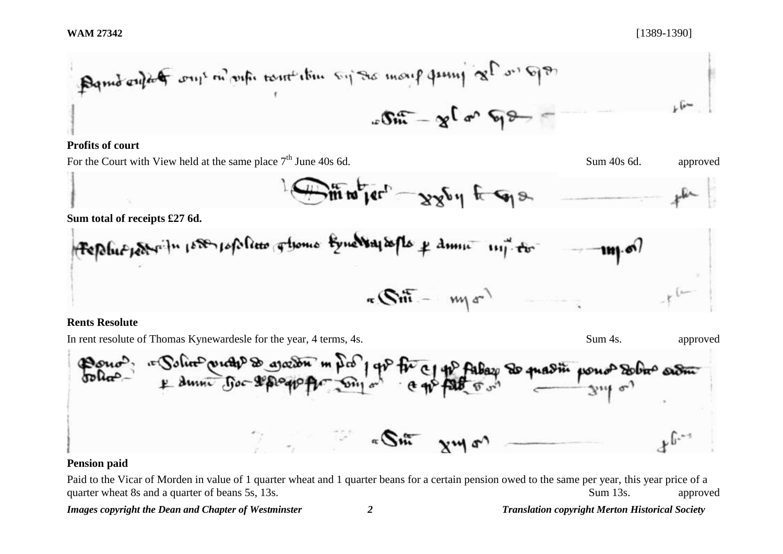| Box              | 2 $\int a^n$    | 9 $\frac{a}{3}$ |
|------------------|-----------------|-----------------|
| 1                | 2 $\int a^n$    | 9 $\frac{a}{3}$ |
| 20 $\frac{a}{3}$ | 3 $\frac{a}{3}$ |                 |

## **Profits of court**

For the Court with View held at the same place  $7<sup>th</sup>$  June 40s 6d. Sum 40s 6d. Sum 40s 6d. approved

$$
\bigoplus_{\mu} \lim_{\mu} \lim_{\nu} \left[ -\frac{1}{2} \mathcal{A}_{\mu} \mathcal{A}_{\mu} + \frac{1}{2} \mathcal{A}_{\mu} \mathcal{A}_{\mu} \right]
$$

**Sum total of receipts £27 6d.**

**Rents Resolute**

In rent resolute of Thomas Kynewardesle for the year, 4 terms, 4s. Sum 4s. Sum 4s. approved

 $\mathfrak{B}$ ou lin<sup>C</sup>renche<sup>D</sup> De arozon  $1$  av  $\overline{2}$ **AVO14 STOL** a Sm

# **Pension paid**

Paid to the Vicar of Morden in value of 1 quarter wheat and 1 quarter beans for a certain pension owed to the same per year, this year price of a quarter wheat 8s and a quarter of beans 5s, 13s.  $\qquad \qquad$  Sum 13s.  $\qquad \qquad$  approved

*Images copyright the Dean and Chapter of Westminster 2 Translation copyright Merton Historical Society*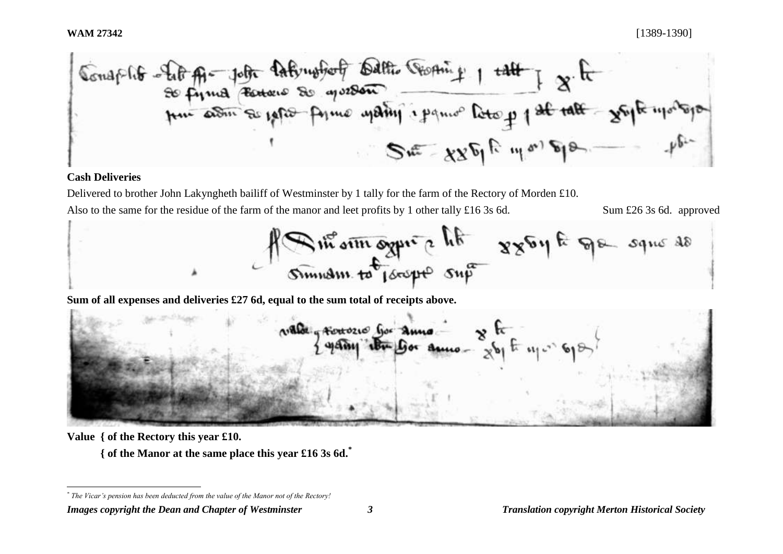Consplite - Let Al- John Dathrustof Dath Choping 1 talt ] & It<br>so firma tension so que de primo para Deto p 1 st talt - youte modern  $S = X X^{\sigma}$   $R = M^{\sigma}$ 

### **Cash Deliveries**

Delivered to brother John Lakyngheth bailiff of Westminster by 1 tally for the farm of the Rectory of Morden £10. Also to the same for the residue of the farm of the manor and leet profits by 1 other tally £16 3s 6d. Sum £26 3s 6d. approved

Rue om ogni e lite 8864 të sque ao

**Sum of all expenses and deliveries £27 6d, equal to the sum total of receipts above.**

walde growsers for anno y fr 1907

**Value { of the Rectory this year £10.**

l

**{ of the Manor at the same place this year £16 3s 6d.\***

*<sup>\*</sup> The Vicar's pension has been deducted from the value of the Manor not of the Rectory!*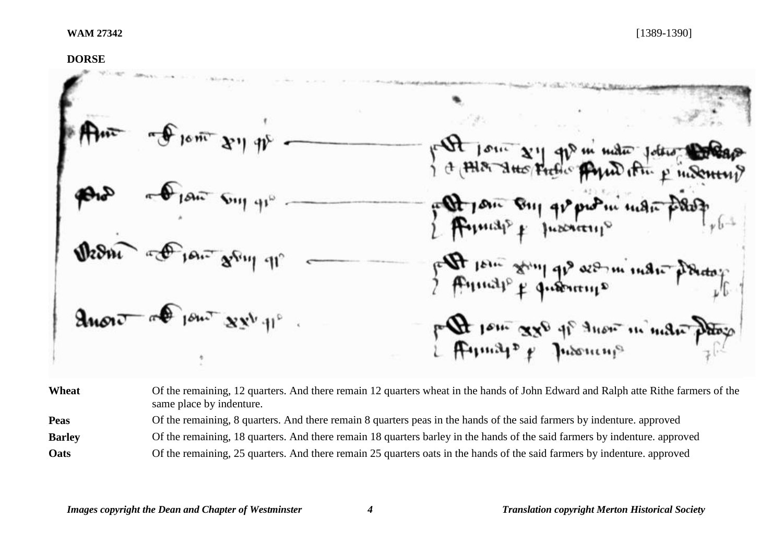### **DORSE**

ans A Jour 880 of them in man

Wheat Of the remaining, 12 quarters. And there remain 12 quarters wheat in the hands of John Edward and Ralph atte Rithe farmers of the same place by indenture. **Peas** Of the remaining, 8 quarters. And there remain 8 quarters peas in the hands of the said farmers by indenture. approved **Barley** Of the remaining, 18 quarters. And there remain 18 quarters barley in the hands of the said farmers by indenture. approved **Oats** Of the remaining, 25 quarters. And there remain 25 quarters oats in the hands of the said farmers by indenture. approved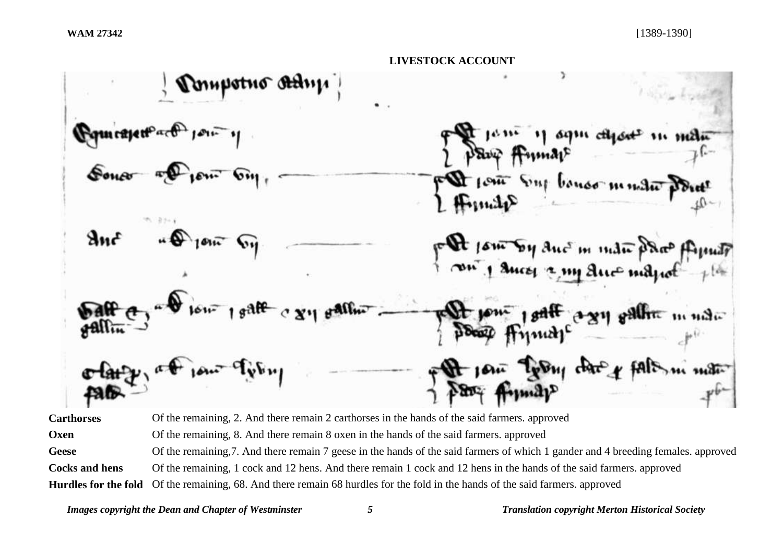**LIVESTOCK ACCOUNT** nunstuo At anc  $\mathbf{u}$  char  $\mathbf{v}$  $488$  $11.31$ 

**Carthorses** Of the remaining, 2. And there remain 2 carthorses in the hands of the said farmers. approved **Oxen** Of the remaining, 8. And there remain 8 oxen in the hands of the said farmers. approved Geese Of the remaining, 7. And there remain 7 geese in the hands of the said farmers of which 1 gander and 4 breeding females. approved **Cocks and hens** Of the remaining, 1 cock and 12 hens. And there remain 1 cock and 12 hens in the hands of the said farmers. approved **Hurdles for the fold** Of the remaining, 68. And there remain 68 hurdles for the fold in the hands of the said farmers. approved

*Images copyright the Dean and Chapter of Westminster 5 Translation copyright Merton Historical Society*